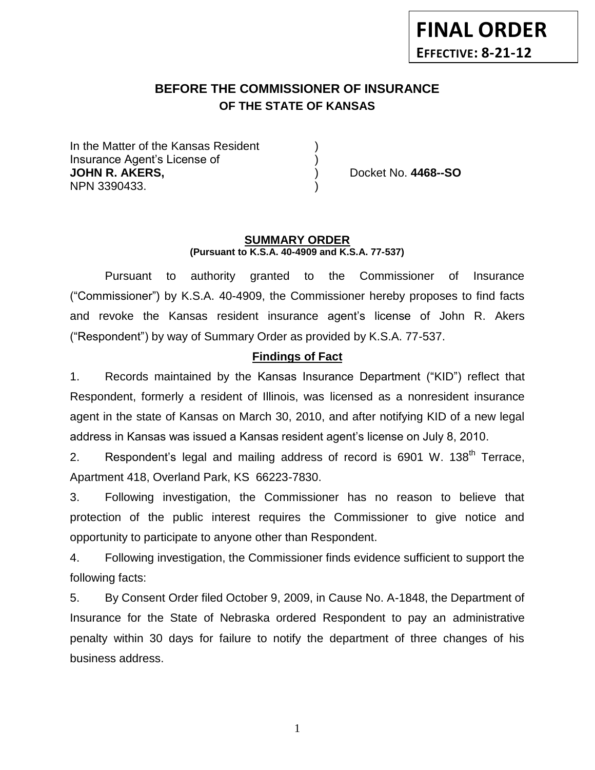# **BEFORE THE COMMISSIONER OF INSURANCE OF THE STATE OF KANSAS**

In the Matter of the Kansas Resident Insurance Agent's License of ) **JOHN R. AKERS,** ) Docket No. **4468--SO** NPN 3390433. )

#### **SUMMARY ORDER (Pursuant to K.S.A. 40-4909 and K.S.A. 77-537)**

Pursuant to authority granted to the Commissioner of Insurance ("Commissioner") by K.S.A. 40-4909, the Commissioner hereby proposes to find facts and revoke the Kansas resident insurance agent's license of John R. Akers ("Respondent") by way of Summary Order as provided by K.S.A. 77-537.

## **Findings of Fact**

1. Records maintained by the Kansas Insurance Department ("KID") reflect that Respondent, formerly a resident of Illinois, was licensed as a nonresident insurance agent in the state of Kansas on March 30, 2010, and after notifying KID of a new legal address in Kansas was issued a Kansas resident agent's license on July 8, 2010.

2. Respondent's legal and mailing address of record is 6901 W. 138<sup>th</sup> Terrace. Apartment 418, Overland Park, KS 66223-7830.

3. Following investigation, the Commissioner has no reason to believe that protection of the public interest requires the Commissioner to give notice and opportunity to participate to anyone other than Respondent.

4. Following investigation, the Commissioner finds evidence sufficient to support the following facts:

5. By Consent Order filed October 9, 2009, in Cause No. A-1848, the Department of Insurance for the State of Nebraska ordered Respondent to pay an administrative penalty within 30 days for failure to notify the department of three changes of his business address.

1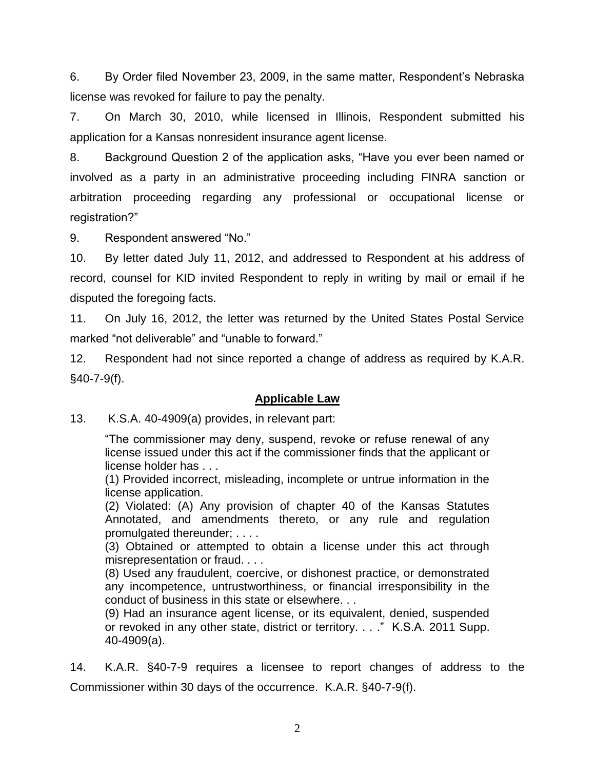6. By Order filed November 23, 2009, in the same matter, Respondent's Nebraska license was revoked for failure to pay the penalty.

7. On March 30, 2010, while licensed in Illinois, Respondent submitted his application for a Kansas nonresident insurance agent license.

8. Background Question 2 of the application asks, "Have you ever been named or involved as a party in an administrative proceeding including FINRA sanction or arbitration proceeding regarding any professional or occupational license or registration?"

9. Respondent answered "No."

10. By letter dated July 11, 2012, and addressed to Respondent at his address of record, counsel for KID invited Respondent to reply in writing by mail or email if he disputed the foregoing facts.

11. On July 16, 2012, the letter was returned by the United States Postal Service marked "not deliverable" and "unable to forward."

12. Respondent had not since reported a change of address as required by K.A.R. §40-7-9(f).

### **Applicable Law**

13. K.S.A. 40-4909(a) provides, in relevant part:

"The commissioner may deny, suspend, revoke or refuse renewal of any license issued under this act if the commissioner finds that the applicant or license holder has . . .

(1) Provided incorrect, misleading, incomplete or untrue information in the license application.

(2) Violated: (A) Any provision of chapter 40 of the Kansas Statutes Annotated, and amendments thereto, or any rule and regulation promulgated thereunder; . . . .

(3) Obtained or attempted to obtain a license under this act through misrepresentation or fraud. . . .

(8) Used any fraudulent, coercive, or dishonest practice, or demonstrated any incompetence, untrustworthiness, or financial irresponsibility in the conduct of business in this state or elsewhere. . .

(9) Had an insurance agent license, or its equivalent, denied, suspended or revoked in any other state, district or territory. . . ." K.S.A. 2011 Supp. 40-4909(a).

14. K.A.R. §40-7-9 requires a licensee to report changes of address to the Commissioner within 30 days of the occurrence. K.A.R. §40-7-9(f).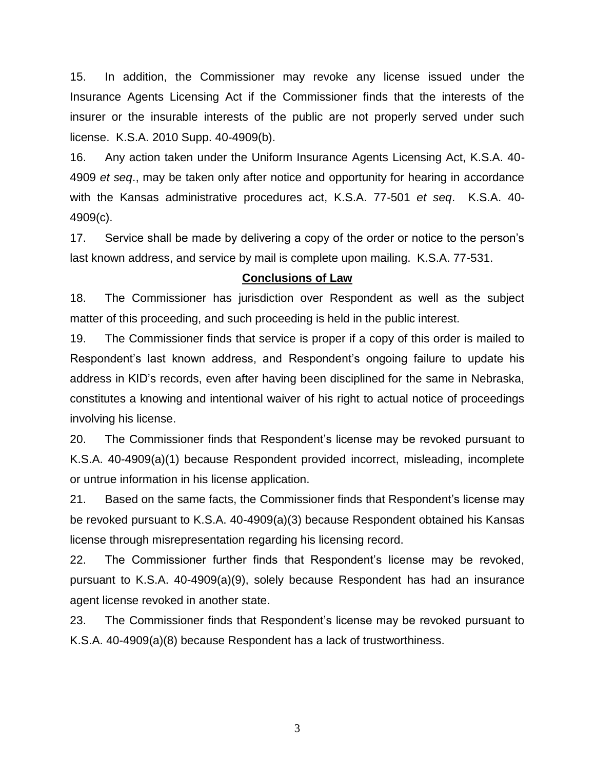15. In addition, the Commissioner may revoke any license issued under the Insurance Agents Licensing Act if the Commissioner finds that the interests of the insurer or the insurable interests of the public are not properly served under such license. K.S.A. 2010 Supp. 40-4909(b).

16. Any action taken under the Uniform Insurance Agents Licensing Act, K.S.A. 40- 4909 *et seq*., may be taken only after notice and opportunity for hearing in accordance with the Kansas administrative procedures act, K.S.A. 77-501 *et seq*. K.S.A. 40- 4909(c).

17. Service shall be made by delivering a copy of the order or notice to the person's last known address, and service by mail is complete upon mailing. K.S.A. 77-531.

### **Conclusions of Law**

18. The Commissioner has jurisdiction over Respondent as well as the subject matter of this proceeding, and such proceeding is held in the public interest.

19. The Commissioner finds that service is proper if a copy of this order is mailed to Respondent's last known address, and Respondent's ongoing failure to update his address in KID's records, even after having been disciplined for the same in Nebraska, constitutes a knowing and intentional waiver of his right to actual notice of proceedings involving his license.

20. The Commissioner finds that Respondent's license may be revoked pursuant to K.S.A. 40-4909(a)(1) because Respondent provided incorrect, misleading, incomplete or untrue information in his license application.

21. Based on the same facts, the Commissioner finds that Respondent's license may be revoked pursuant to K.S.A. 40-4909(a)(3) because Respondent obtained his Kansas license through misrepresentation regarding his licensing record.

22. The Commissioner further finds that Respondent's license may be revoked, pursuant to K.S.A. 40-4909(a)(9), solely because Respondent has had an insurance agent license revoked in another state.

23. The Commissioner finds that Respondent's license may be revoked pursuant to K.S.A. 40-4909(a)(8) because Respondent has a lack of trustworthiness.

3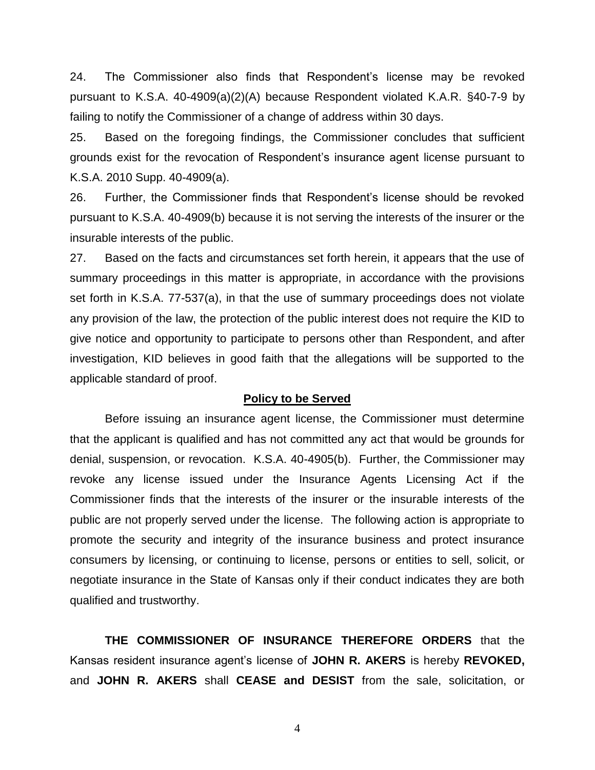24. The Commissioner also finds that Respondent's license may be revoked pursuant to K.S.A. 40-4909(a)(2)(A) because Respondent violated K.A.R. §40-7-9 by failing to notify the Commissioner of a change of address within 30 days.

25. Based on the foregoing findings, the Commissioner concludes that sufficient grounds exist for the revocation of Respondent's insurance agent license pursuant to K.S.A. 2010 Supp. 40-4909(a).

26. Further, the Commissioner finds that Respondent's license should be revoked pursuant to K.S.A. 40-4909(b) because it is not serving the interests of the insurer or the insurable interests of the public.

27. Based on the facts and circumstances set forth herein, it appears that the use of summary proceedings in this matter is appropriate, in accordance with the provisions set forth in K.S.A. 77-537(a), in that the use of summary proceedings does not violate any provision of the law, the protection of the public interest does not require the KID to give notice and opportunity to participate to persons other than Respondent, and after investigation, KID believes in good faith that the allegations will be supported to the applicable standard of proof.

#### **Policy to be Served**

Before issuing an insurance agent license, the Commissioner must determine that the applicant is qualified and has not committed any act that would be grounds for denial, suspension, or revocation. K.S.A. 40-4905(b). Further, the Commissioner may revoke any license issued under the Insurance Agents Licensing Act if the Commissioner finds that the interests of the insurer or the insurable interests of the public are not properly served under the license. The following action is appropriate to promote the security and integrity of the insurance business and protect insurance consumers by licensing, or continuing to license, persons or entities to sell, solicit, or negotiate insurance in the State of Kansas only if their conduct indicates they are both qualified and trustworthy.

**THE COMMISSIONER OF INSURANCE THEREFORE ORDERS** that the Kansas resident insurance agent's license of **JOHN R. AKERS** is hereby **REVOKED,**  and **JOHN R. AKERS** shall **CEASE and DESIST** from the sale, solicitation, or

4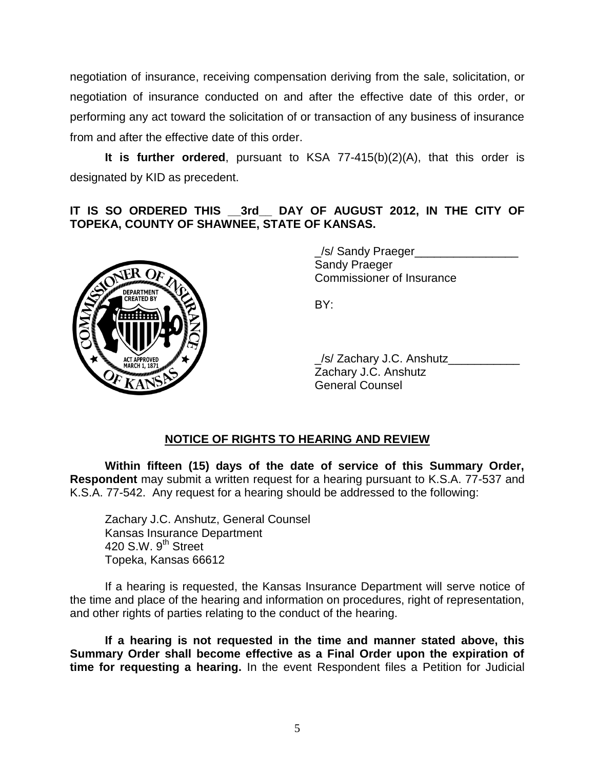negotiation of insurance, receiving compensation deriving from the sale, solicitation, or negotiation of insurance conducted on and after the effective date of this order, or performing any act toward the solicitation of or transaction of any business of insurance from and after the effective date of this order.

**It is further ordered**, pursuant to KSA 77-415(b)(2)(A), that this order is designated by KID as precedent.

# **IT IS SO ORDERED THIS \_\_3rd\_\_ DAY OF AUGUST 2012, IN THE CITY OF TOPEKA, COUNTY OF SHAWNEE, STATE OF KANSAS.**



\_/s/ Sandy Praeger\_\_\_\_\_\_\_\_\_\_\_\_\_\_\_\_ Sandy Praeger Commissioner of Insurance

BY:

\_/s/ Zachary J.C. Anshutz\_\_\_\_\_\_\_\_\_\_\_ Zachary J.C. Anshutz General Counsel

# **NOTICE OF RIGHTS TO HEARING AND REVIEW**

**Within fifteen (15) days of the date of service of this Summary Order, Respondent** may submit a written request for a hearing pursuant to K.S.A. 77-537 and K.S.A. 77-542. Any request for a hearing should be addressed to the following:

Zachary J.C. Anshutz, General Counsel Kansas Insurance Department 420 S.W.  $9<sup>th</sup>$  Street Topeka, Kansas 66612

If a hearing is requested, the Kansas Insurance Department will serve notice of the time and place of the hearing and information on procedures, right of representation, and other rights of parties relating to the conduct of the hearing.

**If a hearing is not requested in the time and manner stated above, this Summary Order shall become effective as a Final Order upon the expiration of time for requesting a hearing.** In the event Respondent files a Petition for Judicial